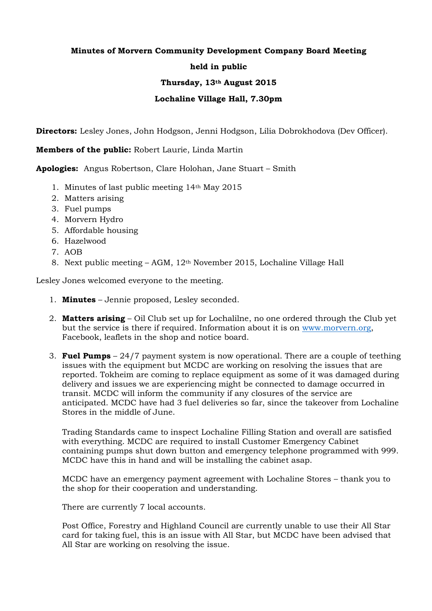## **Minutes of Morvern Community Development Company Board Meeting held in public**

## **Thursday, 13th August 2015**

## **Lochaline Village Hall, 7.30pm**

**Directors:** Lesley Jones, John Hodgson, Jenni Hodgson, Lilia Dobrokhodova (Dev Officer).

**Members of the public:** Robert Laurie, Linda Martin

**Apologies:** Angus Robertson, Clare Holohan, Jane Stuart – Smith

- 1. Minutes of last public meeting 14th May 2015
- 2. Matters arising
- 3. Fuel pumps
- 4. Morvern Hydro
- 5. Affordable housing
- 6. Hazelwood
- 7. AOB
- 8. Next public meeting AGM, 12th November 2015, Lochaline Village Hall

Lesley Jones welcomed everyone to the meeting.

- 1. **Minutes** Jennie proposed, Lesley seconded.
- 2. **Matters arising** Oil Club set up for Lochalilne, no one ordered through the Club yet but the service is there if required. Information about it is on [www.morvern.org,](http://www.morvern.org/) Facebook, leaflets in the shop and notice board.
- 3. **Fuel Pumps** 24/7 payment system is now operational. There are a couple of teething issues with the equipment but MCDC are working on resolving the issues that are reported. Tokheim are coming to replace equipment as some of it was damaged during delivery and issues we are experiencing might be connected to damage occurred in transit. MCDC will inform the community if any closures of the service are anticipated. MCDC have had 3 fuel deliveries so far, since the takeover from Lochaline Stores in the middle of June.

Trading Standards came to inspect Lochaline Filling Station and overall are satisfied with everything. MCDC are required to install Customer Emergency Cabinet containing pumps shut down button and emergency telephone programmed with 999. MCDC have this in hand and will be installing the cabinet asap.

MCDC have an emergency payment agreement with Lochaline Stores – thank you to the shop for their cooperation and understanding.

There are currently 7 local accounts.

Post Office, Forestry and Highland Council are currently unable to use their All Star card for taking fuel, this is an issue with All Star, but MCDC have been advised that All Star are working on resolving the issue.